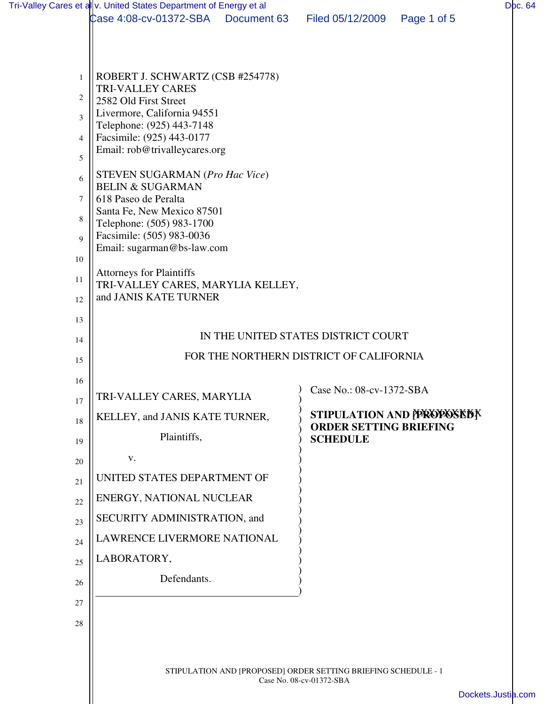|                | Tri-Valley Cares et allv. United States Department of Energy et al                         |             |                               |                           | Doc. 64            |  |  |
|----------------|--------------------------------------------------------------------------------------------|-------------|-------------------------------|---------------------------|--------------------|--|--|
|                | Case 4:08-cv-01372-SBA                                                                     | Document 63 | Filed 05/12/2009              | Page 1 of 5               |                    |  |  |
|                |                                                                                            |             |                               |                           |                    |  |  |
|                |                                                                                            |             |                               |                           |                    |  |  |
| $\mathbf{1}$   | ROBERT J. SCHWARTZ (CSB #254778)<br><b>TRI-VALLEY CARES</b>                                |             |                               |                           |                    |  |  |
| 2              | 2582 Old First Street                                                                      |             |                               |                           |                    |  |  |
| $\overline{3}$ | Livermore, California 94551<br>Telephone: (925) 443-7148                                   |             |                               |                           |                    |  |  |
| 4              | Facsimile: (925) 443-0177                                                                  |             |                               |                           |                    |  |  |
| 5              | Email: rob@trivalleycares.org                                                              |             |                               |                           |                    |  |  |
| 6              | STEVEN SUGARMAN (Pro Hac Vice)                                                             |             |                               |                           |                    |  |  |
| $\tau$         | <b>BELIN &amp; SUGARMAN</b><br>618 Paseo de Peralta                                        |             |                               |                           |                    |  |  |
| 8              | Santa Fe, New Mexico 87501                                                                 |             |                               |                           |                    |  |  |
| $\mathbf Q$    | Telephone: (505) 983-1700<br>Facsimile: (505) 983-0036                                     |             |                               |                           |                    |  |  |
|                | Email: sugarman@bs-law.com                                                                 |             |                               |                           |                    |  |  |
| 10             | <b>Attorneys for Plaintiffs</b>                                                            |             |                               |                           |                    |  |  |
| 11             | TRI-VALLEY CARES, MARYLIA KELLEY,<br>and JANIS KATE TURNER                                 |             |                               |                           |                    |  |  |
| 12             |                                                                                            |             |                               |                           |                    |  |  |
| 13             |                                                                                            |             |                               |                           |                    |  |  |
| 14             | IN THE UNITED STATES DISTRICT COURT<br>FOR THE NORTHERN DISTRICT OF CALIFORNIA             |             |                               |                           |                    |  |  |
| 15             |                                                                                            |             |                               |                           |                    |  |  |
| 16             |                                                                                            |             | Case No.: 08-cv-1372-SBA      |                           |                    |  |  |
| 17             | TRI-VALLEY CARES, MARYLIA                                                                  |             |                               |                           |                    |  |  |
| 18             | KELLEY, and JANIS KATE TURNER,                                                             |             | <b>ORDER SETTING BRIEFING</b> | STIPULATION AND PROPOSEDY |                    |  |  |
| 19             | Plaintiffs,                                                                                |             | <b>SCHEDULE</b>               |                           |                    |  |  |
| 20             | V.                                                                                         |             |                               |                           |                    |  |  |
| 21             | UNITED STATES DEPARTMENT OF                                                                |             |                               |                           |                    |  |  |
| 22             | ENERGY, NATIONAL NUCLEAR                                                                   |             |                               |                           |                    |  |  |
| 23             | SECURITY ADMINISTRATION, and                                                               |             |                               |                           |                    |  |  |
| 24             | LAWRENCE LIVERMORE NATIONAL                                                                |             |                               |                           |                    |  |  |
| 25             | LABORATORY,                                                                                |             |                               |                           |                    |  |  |
| 26             | Defendants.                                                                                |             |                               |                           |                    |  |  |
| 27             |                                                                                            |             |                               |                           |                    |  |  |
| 28             |                                                                                            |             |                               |                           |                    |  |  |
|                |                                                                                            |             |                               |                           |                    |  |  |
|                | STIPULATION AND [PROPOSED] ORDER SETTING BRIEFING SCHEDULE - 1<br>Case No. 08-cv-01372-SBA |             |                               |                           |                    |  |  |
|                |                                                                                            |             |                               |                           |                    |  |  |
|                |                                                                                            |             |                               |                           | Dockets.Justia.com |  |  |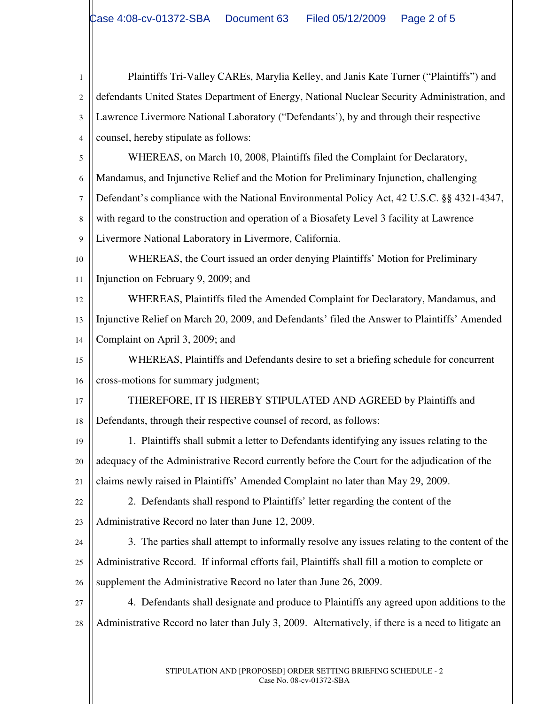1 2 3 4 5 6 7 8 9 10 11 12 13 14 15 16 17 18 19 20 21 22 23 24 25 26 27 28 Plaintiffs Tri-Valley CAREs, Marylia Kelley, and Janis Kate Turner ("Plaintiffs") and defendants United States Department of Energy, National Nuclear Security Administration, and Lawrence Livermore National Laboratory ("Defendants'), by and through their respective counsel, hereby stipulate as follows: WHEREAS, on March 10, 2008, Plaintiffs filed the Complaint for Declaratory, Mandamus, and Injunctive Relief and the Motion for Preliminary Injunction, challenging Defendant's compliance with the National Environmental Policy Act, 42 U.S.C. §§ 4321-4347, with regard to the construction and operation of a Biosafety Level 3 facility at Lawrence Livermore National Laboratory in Livermore, California. WHEREAS, the Court issued an order denying Plaintiffs' Motion for Preliminary Injunction on February 9, 2009; and WHEREAS, Plaintiffs filed the Amended Complaint for Declaratory, Mandamus, and Injunctive Relief on March 20, 2009, and Defendants' filed the Answer to Plaintiffs' Amended Complaint on April 3, 2009; and WHEREAS, Plaintiffs and Defendants desire to set a briefing schedule for concurrent cross-motions for summary judgment; THEREFORE, IT IS HEREBY STIPULATED AND AGREED by Plaintiffs and Defendants, through their respective counsel of record, as follows: 1. Plaintiffs shall submit a letter to Defendants identifying any issues relating to the adequacy of the Administrative Record currently before the Court for the adjudication of the claims newly raised in Plaintiffs' Amended Complaint no later than May 29, 2009. 2. Defendants shall respond to Plaintiffs' letter regarding the content of the Administrative Record no later than June 12, 2009. 3. The parties shall attempt to informally resolve any issues relating to the content of the Administrative Record. If informal efforts fail, Plaintiffs shall fill a motion to complete or supplement the Administrative Record no later than June 26, 2009. 4. Defendants shall designate and produce to Plaintiffs any agreed upon additions to the Administrative Record no later than July 3, 2009. Alternatively, if there is a need to litigate an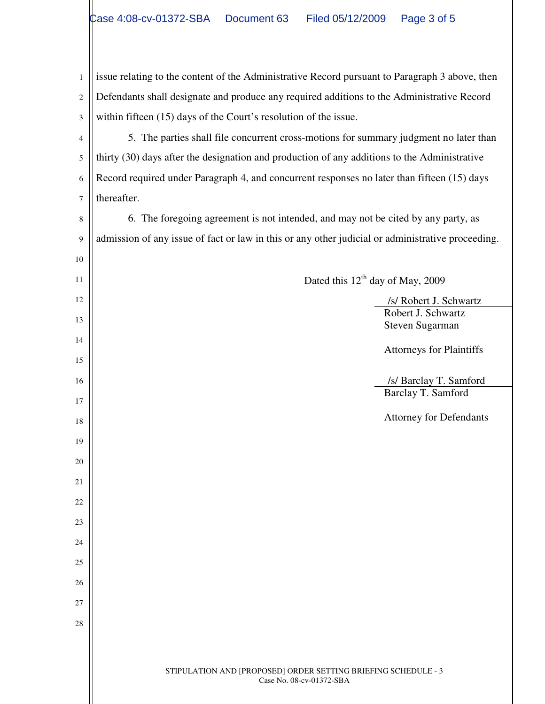1 2 3 issue relating to the content of the Administrative Record pursuant to Paragraph 3 above, then Defendants shall designate and produce any required additions to the Administrative Record within fifteen (15) days of the Court's resolution of the issue.

4 5 6 7 5. The parties shall file concurrent cross-motions for summary judgment no later than thirty (30) days after the designation and production of any additions to the Administrative Record required under Paragraph 4, and concurrent responses no later than fifteen (15) days thereafter.

8 9 6. The foregoing agreement is not intended, and may not be cited by any party, as admission of any issue of fact or law in this or any other judicial or administrative proceeding.

Dated this  $12^{th}$  day of May, 2009

 /s/ Robert J. Schwartz Robert J. Schwartz Steven Sugarman

Attorneys for Plaintiffs

 /s/ Barclay T. Samford Barclay T. Samford

Attorney for Defendants

27 28

10

11

12

13

14

15

16

17

18

19

20

21

22

23

24

25

26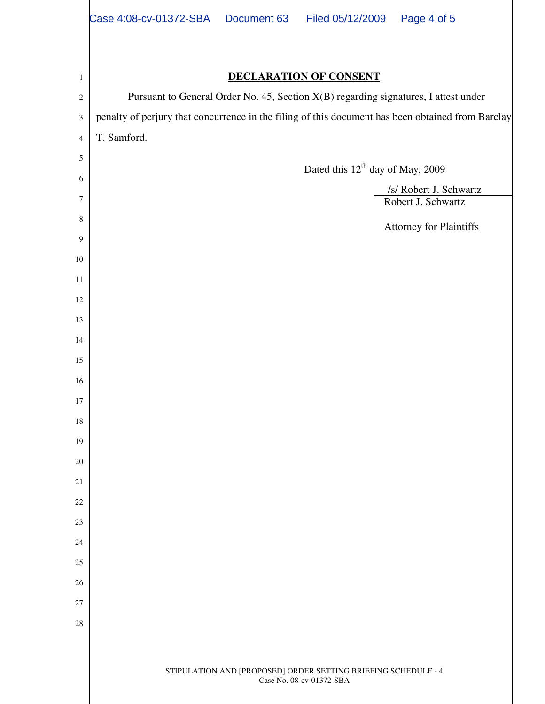|                  | Case 4:08-cv-01372-SBA  Document 63<br>Filed 05/12/2009<br>Page 4 of 5                            |  |  |  |  |  |  |  |
|------------------|---------------------------------------------------------------------------------------------------|--|--|--|--|--|--|--|
|                  |                                                                                                   |  |  |  |  |  |  |  |
| $\mathbf{1}$     | <b>DECLARATION OF CONSENT</b>                                                                     |  |  |  |  |  |  |  |
| $\sqrt{2}$       | Pursuant to General Order No. 45, Section X(B) regarding signatures, I attest under               |  |  |  |  |  |  |  |
| $\mathfrak{Z}$   | penalty of perjury that concurrence in the filing of this document has been obtained from Barclay |  |  |  |  |  |  |  |
| $\overline{4}$   | T. Samford.                                                                                       |  |  |  |  |  |  |  |
| $\mathfrak s$    | Dated this 12 <sup>th</sup> day of May, 2009                                                      |  |  |  |  |  |  |  |
| 6                |                                                                                                   |  |  |  |  |  |  |  |
| $\tau$           | /s/ Robert J. Schwartz<br>Robert J. Schwartz                                                      |  |  |  |  |  |  |  |
| 8                | Attorney for Plaintiffs                                                                           |  |  |  |  |  |  |  |
| $\boldsymbol{9}$ |                                                                                                   |  |  |  |  |  |  |  |
| $10\,$           |                                                                                                   |  |  |  |  |  |  |  |
| 11               |                                                                                                   |  |  |  |  |  |  |  |
| 12               |                                                                                                   |  |  |  |  |  |  |  |
| 13               |                                                                                                   |  |  |  |  |  |  |  |
| 14<br>15         |                                                                                                   |  |  |  |  |  |  |  |
| 16               |                                                                                                   |  |  |  |  |  |  |  |
| 17               |                                                                                                   |  |  |  |  |  |  |  |
| 18               |                                                                                                   |  |  |  |  |  |  |  |
| 19               |                                                                                                   |  |  |  |  |  |  |  |
| $20\,$           |                                                                                                   |  |  |  |  |  |  |  |
| 21               |                                                                                                   |  |  |  |  |  |  |  |
| 22               |                                                                                                   |  |  |  |  |  |  |  |
| 23               |                                                                                                   |  |  |  |  |  |  |  |
| 24               |                                                                                                   |  |  |  |  |  |  |  |
| 25               |                                                                                                   |  |  |  |  |  |  |  |
| 26               |                                                                                                   |  |  |  |  |  |  |  |
| 27               |                                                                                                   |  |  |  |  |  |  |  |
| 28               |                                                                                                   |  |  |  |  |  |  |  |
|                  |                                                                                                   |  |  |  |  |  |  |  |
|                  | STIPULATION AND [PROPOSED] ORDER SETTING BRIEFING SCHEDULE - 4<br>Case No. 08-cv-01372-SBA        |  |  |  |  |  |  |  |